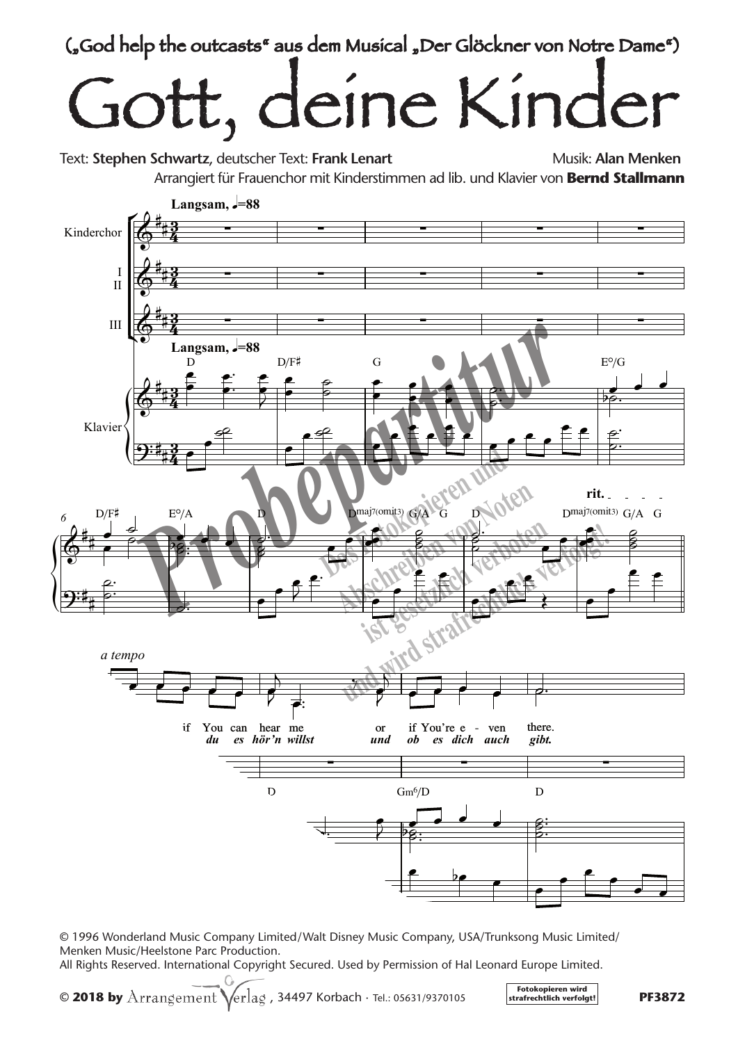("God help the outcasts" aus dem Musical "Der Glöckner von Notre Dame")

## Gott, deine Kinder

Text: Stephen Schwartz, deutscher Text: Frank Lenart **Musik: Alan Menken** 

Arrangiert für Frauenchor mit Kinderstimmen ad lib. und Klavier von Bernd Stallmann



© 1996 Wonderland Music Company Limited/Walt Disney Music Company, USA/Trunksong Music Limited/ Menken Music/Heelstone Parc Production.

All Rights Reserved. International Copyright Secured. Used by Permission of Hal Leonard Europe Limited.

 $\rm \sqrt{erla}$ g , 34497 Korbach  $\cdot$  Tel.: 05631/9370105  $\circ$  2018 by  $\text{Arrangent}$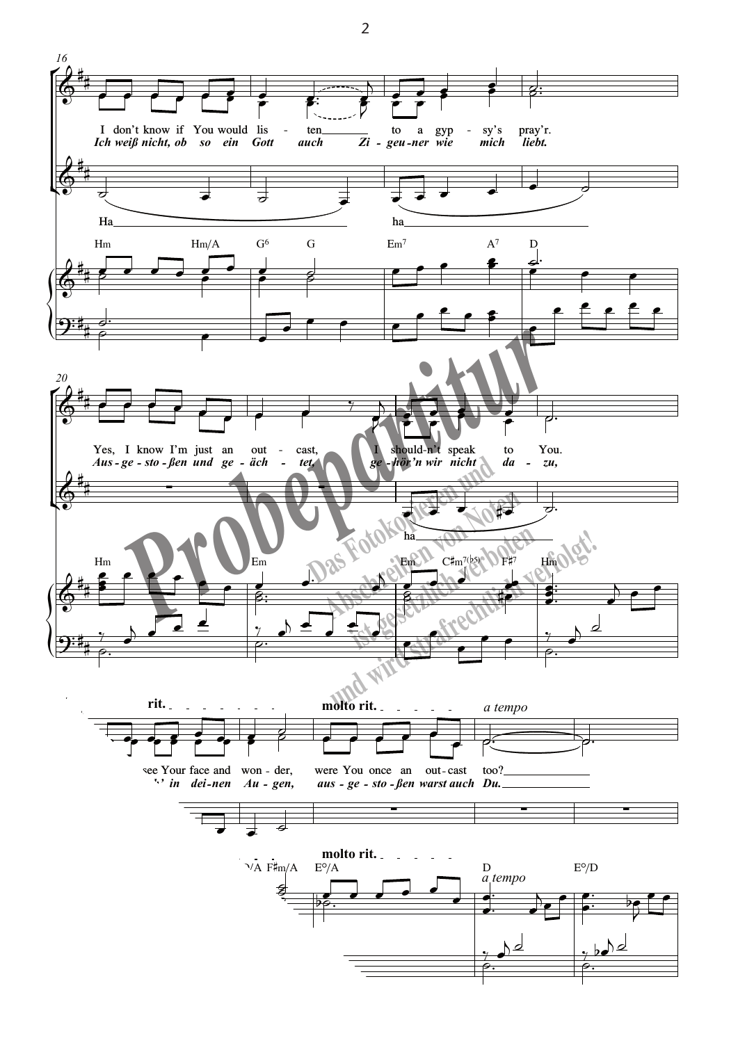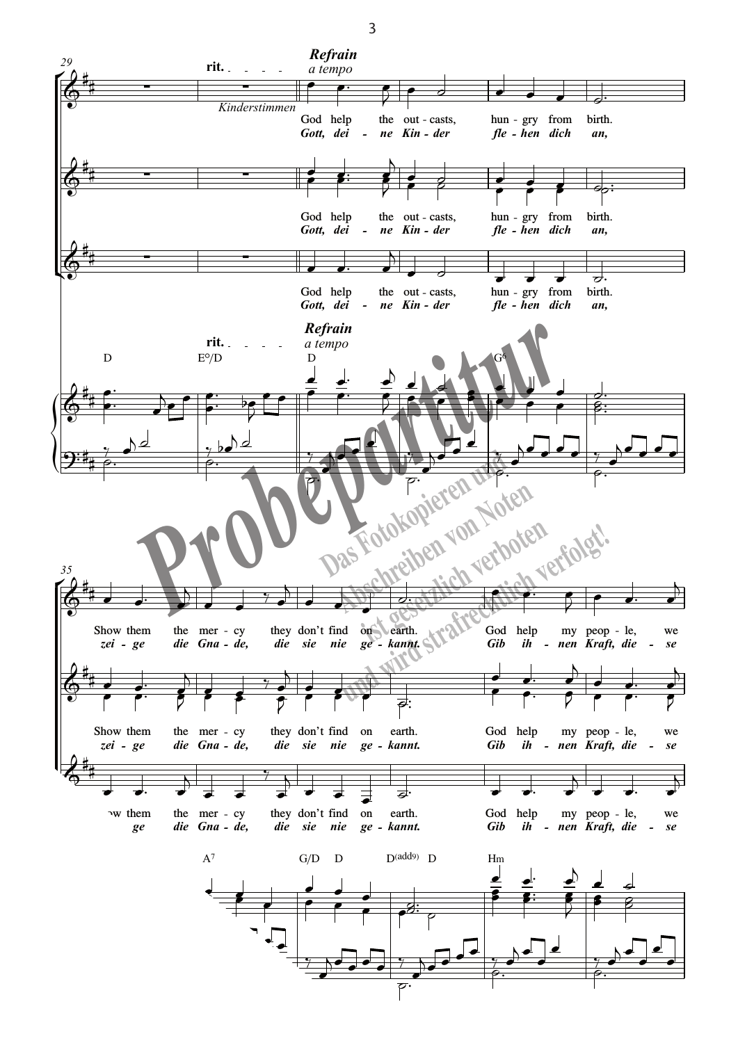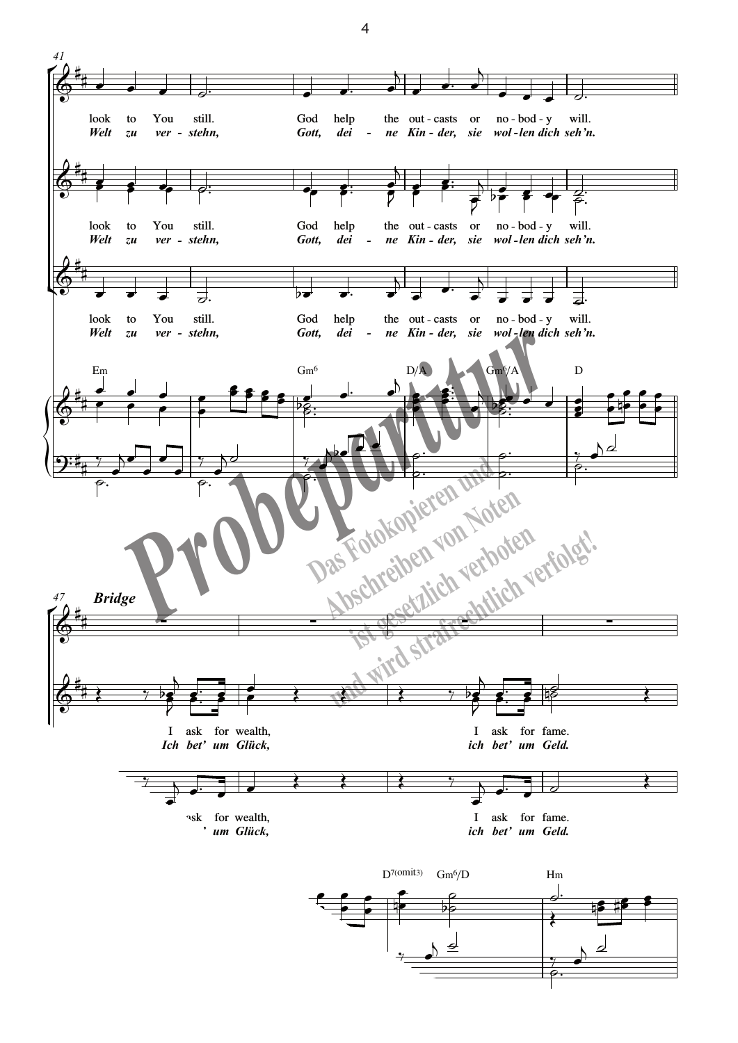

 $\overline{4}$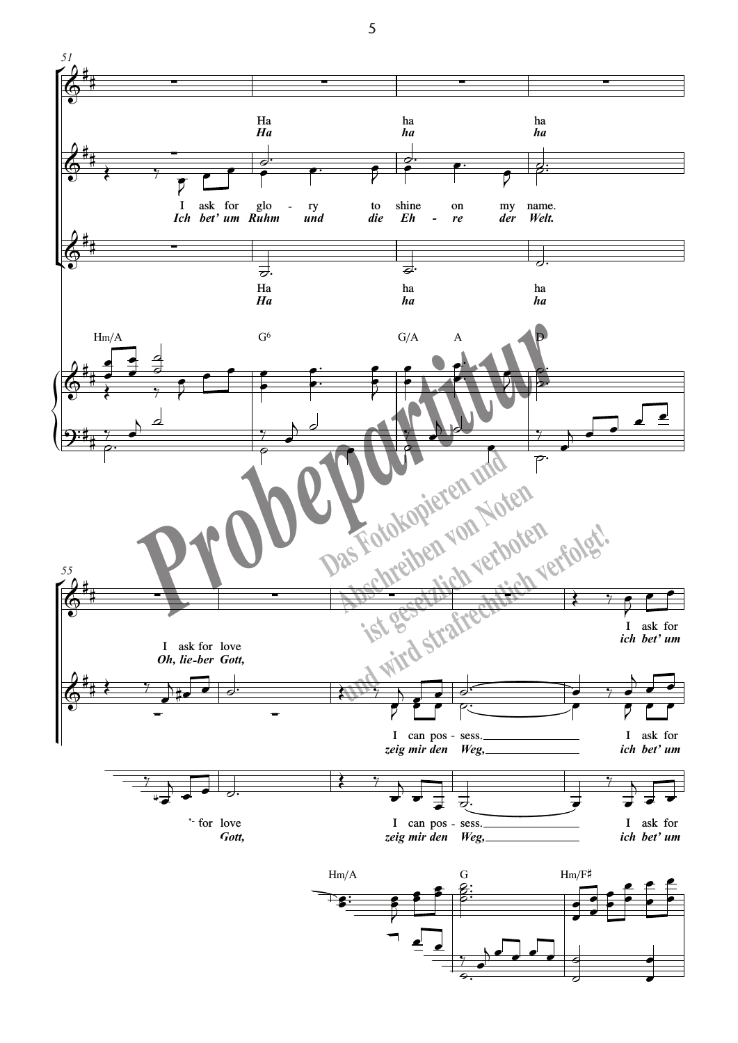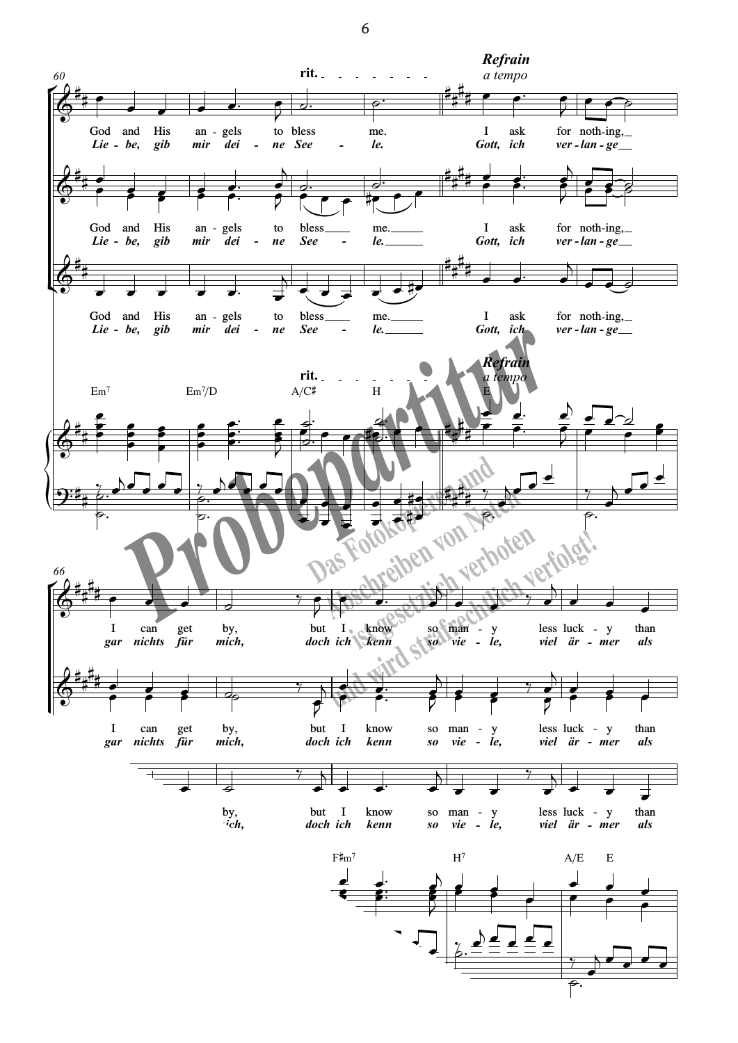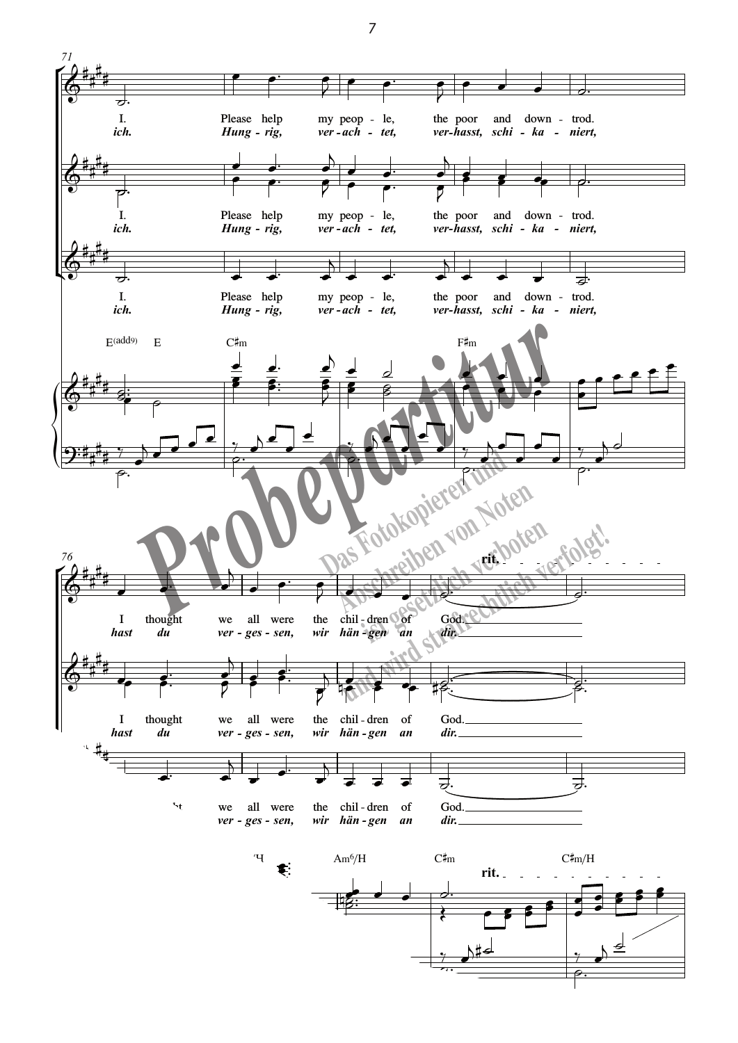